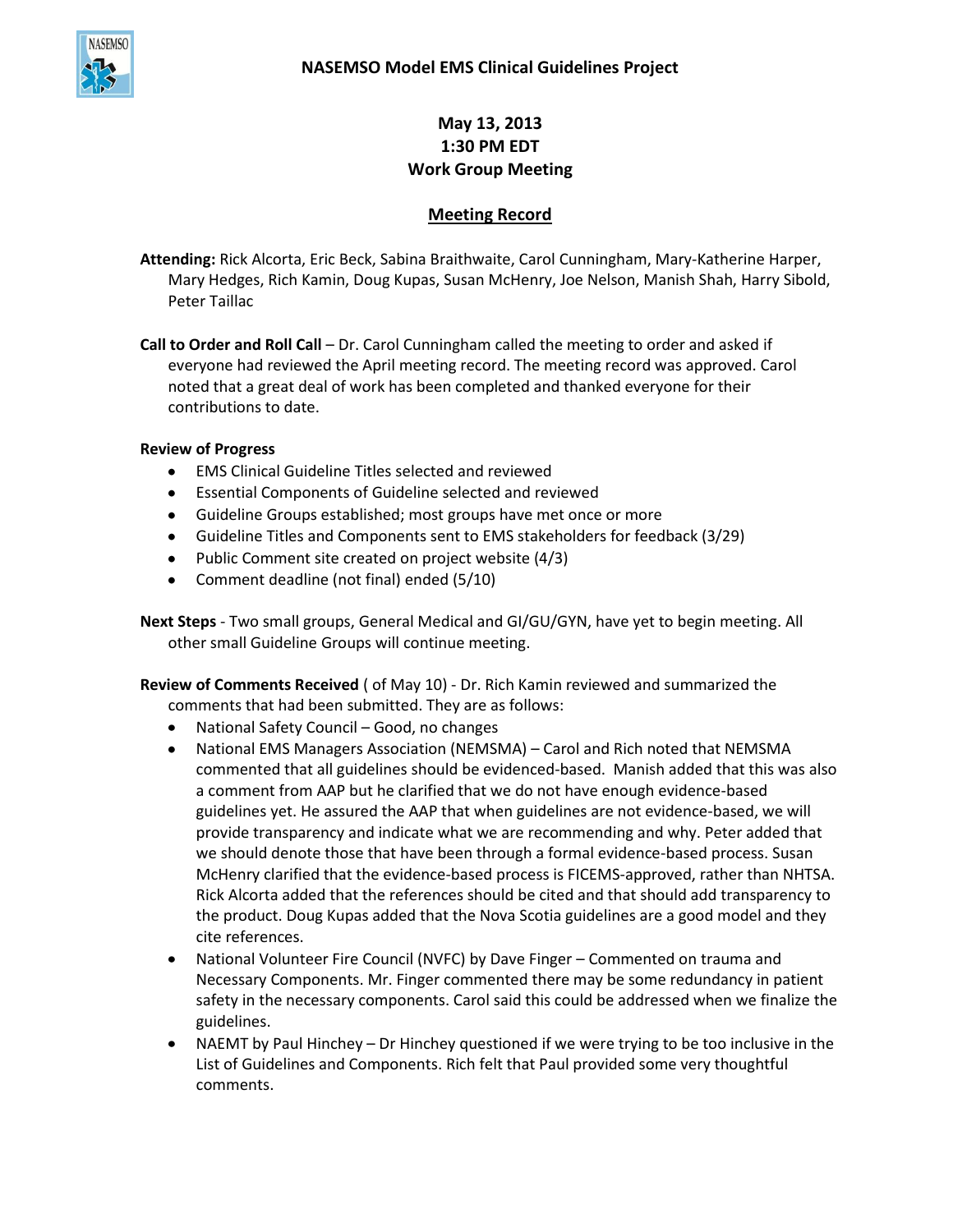

# **May 13, 2013 1:30 PM EDT Work Group Meeting**

## **Meeting Record**

**Attending:** Rick Alcorta, Eric Beck, Sabina Braithwaite, Carol Cunningham, Mary-Katherine Harper, Mary Hedges, Rich Kamin, Doug Kupas, Susan McHenry, Joe Nelson, Manish Shah, Harry Sibold, Peter Taillac

**Call to Order and Roll Call** – Dr. Carol Cunningham called the meeting to order and asked if everyone had reviewed the April meeting record. The meeting record was approved. Carol noted that a great deal of work has been completed and thanked everyone for their contributions to date.

## **Review of Progress**

- EMS Clinical Guideline Titles selected and reviewed
- Essential Components of Guideline selected and reviewed
- Guideline Groups established; most groups have met once or more
- Guideline Titles and Components sent to EMS stakeholders for feedback (3/29)
- Public Comment site created on project website (4/3)
- Comment deadline (not final) ended (5/10)

**Next Steps** - Two small groups, General Medical and GI/GU/GYN, have yet to begin meeting. All other small Guideline Groups will continue meeting.

**Review of Comments Received** ( of May 10) - Dr. Rich Kamin reviewed and summarized the comments that had been submitted. They are as follows:

- National Safety Council Good, no changes
- $\bullet$ National EMS Managers Association (NEMSMA) – Carol and Rich noted that NEMSMA commented that all guidelines should be evidenced-based. Manish added that this was also a comment from AAP but he clarified that we do not have enough evidence-based guidelines yet. He assured the AAP that when guidelines are not evidence-based, we will provide transparency and indicate what we are recommending and why. Peter added that we should denote those that have been through a formal evidence-based process. Susan McHenry clarified that the evidence-based process is FICEMS-approved, rather than NHTSA. Rick Alcorta added that the references should be cited and that should add transparency to the product. Doug Kupas added that the Nova Scotia guidelines are a good model and they cite references.
- National Volunteer Fire Council (NVFC) by Dave Finger Commented on trauma and  $\bullet$ Necessary Components. Mr. Finger commented there may be some redundancy in patient safety in the necessary components. Carol said this could be addressed when we finalize the guidelines.
- NAEMT by Paul Hinchey Dr Hinchey questioned if we were trying to be too inclusive in the List of Guidelines and Components. Rich felt that Paul provided some very thoughtful comments.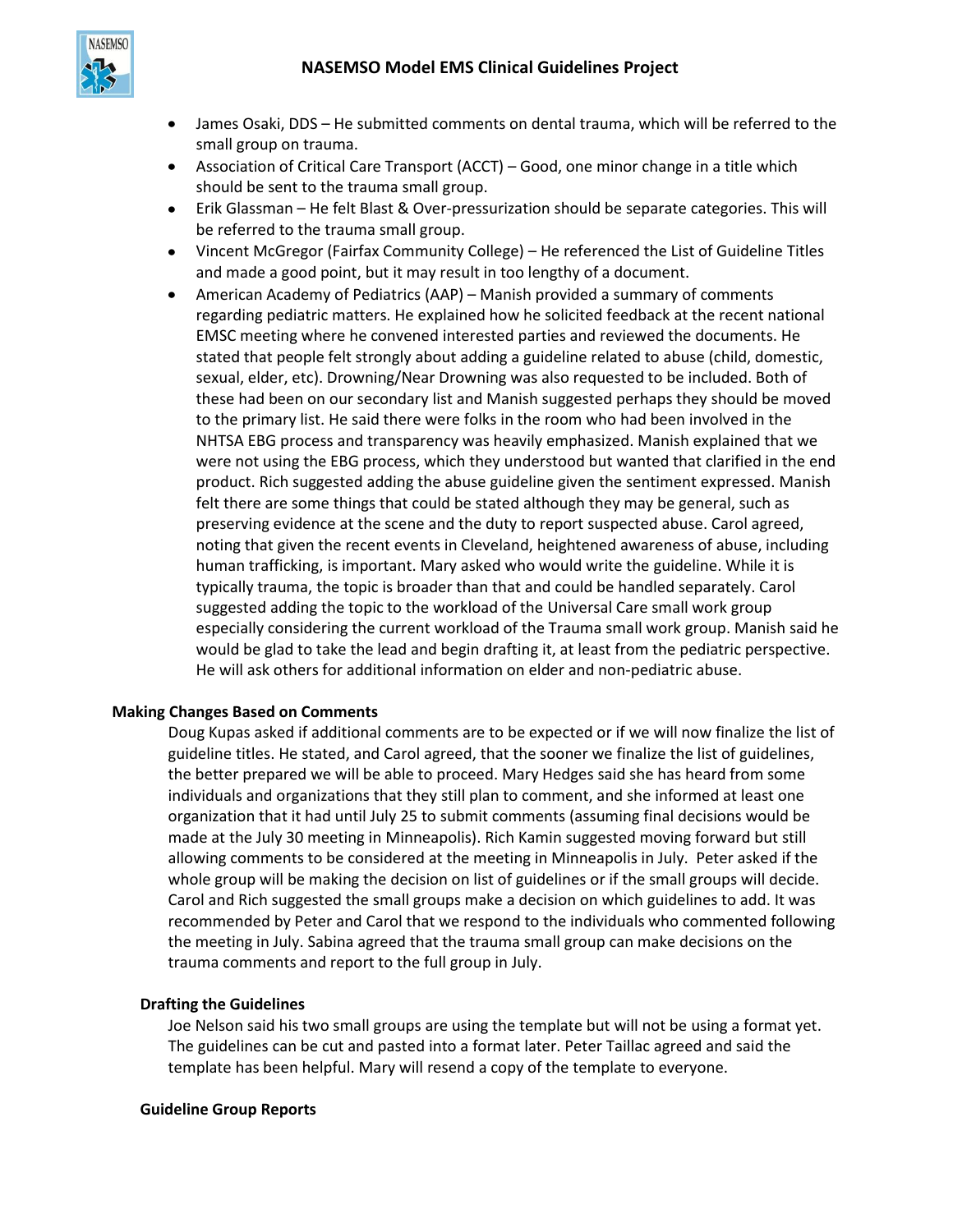

- James Osaki, DDS He submitted comments on dental trauma, which will be referred to the small group on trauma.
- Association of Critical Care Transport (ACCT) Good, one minor change in a title which should be sent to the trauma small group.
- Erik Glassman He felt Blast & Over-pressurization should be separate categories. This will be referred to the trauma small group.
- Vincent McGregor (Fairfax Community College) He referenced the List of Guideline Titles and made a good point, but it may result in too lengthy of a document.
- American Academy of Pediatrics (AAP) Manish provided a summary of comments regarding pediatric matters. He explained how he solicited feedback at the recent national EMSC meeting where he convened interested parties and reviewed the documents. He stated that people felt strongly about adding a guideline related to abuse (child, domestic, sexual, elder, etc). Drowning/Near Drowning was also requested to be included. Both of these had been on our secondary list and Manish suggested perhaps they should be moved to the primary list. He said there were folks in the room who had been involved in the NHTSA EBG process and transparency was heavily emphasized. Manish explained that we were not using the EBG process, which they understood but wanted that clarified in the end product. Rich suggested adding the abuse guideline given the sentiment expressed. Manish felt there are some things that could be stated although they may be general, such as preserving evidence at the scene and the duty to report suspected abuse. Carol agreed, noting that given the recent events in Cleveland, heightened awareness of abuse, including human trafficking, is important. Mary asked who would write the guideline. While it is typically trauma, the topic is broader than that and could be handled separately. Carol suggested adding the topic to the workload of the Universal Care small work group especially considering the current workload of the Trauma small work group. Manish said he would be glad to take the lead and begin drafting it, at least from the pediatric perspective. He will ask others for additional information on elder and non-pediatric abuse.

### **Making Changes Based on Comments**

Doug Kupas asked if additional comments are to be expected or if we will now finalize the list of guideline titles. He stated, and Carol agreed, that the sooner we finalize the list of guidelines, the better prepared we will be able to proceed. Mary Hedges said she has heard from some individuals and organizations that they still plan to comment, and she informed at least one organization that it had until July 25 to submit comments (assuming final decisions would be made at the July 30 meeting in Minneapolis). Rich Kamin suggested moving forward but still allowing comments to be considered at the meeting in Minneapolis in July. Peter asked if the whole group will be making the decision on list of guidelines or if the small groups will decide. Carol and Rich suggested the small groups make a decision on which guidelines to add. It was recommended by Peter and Carol that we respond to the individuals who commented following the meeting in July. Sabina agreed that the trauma small group can make decisions on the trauma comments and report to the full group in July.

#### **Drafting the Guidelines**

Joe Nelson said his two small groups are using the template but will not be using a format yet. The guidelines can be cut and pasted into a format later. Peter Taillac agreed and said the template has been helpful. Mary will resend a copy of the template to everyone.

#### **Guideline Group Reports**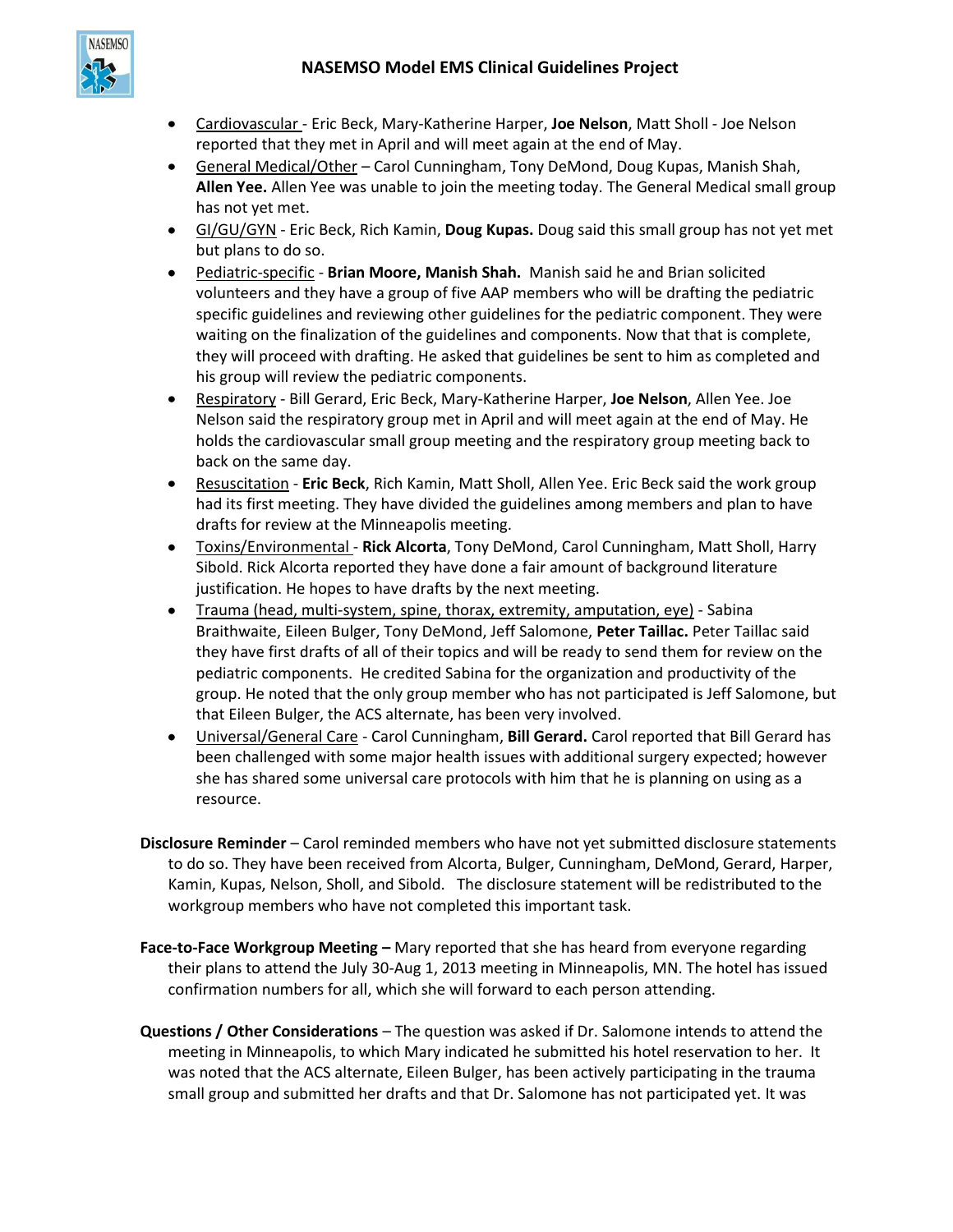

- Cardiovascular Eric Beck, Mary-Katherine Harper, **Joe Nelson**, Matt Sholl Joe Nelson reported that they met in April and will meet again at the end of May.
- General Medical/Other Carol Cunningham, Tony DeMond, Doug Kupas, Manish Shah, **Allen Yee.** Allen Yee was unable to join the meeting today. The General Medical small group has not yet met.
- GI/GU/GYN Eric Beck, Rich Kamin, **Doug Kupas.** Doug said this small group has not yet met but plans to do so.
- Pediatric-specific **Brian Moore, Manish Shah.** Manish said he and Brian solicited volunteers and they have a group of five AAP members who will be drafting the pediatric specific guidelines and reviewing other guidelines for the pediatric component. They were waiting on the finalization of the guidelines and components. Now that that is complete, they will proceed with drafting. He asked that guidelines be sent to him as completed and his group will review the pediatric components.
- Respiratory Bill Gerard, Eric Beck, Mary-Katherine Harper, **Joe Nelson**, Allen Yee. Joe Nelson said the respiratory group met in April and will meet again at the end of May. He holds the cardiovascular small group meeting and the respiratory group meeting back to back on the same day.
- $\bullet$ Resuscitation - **Eric Beck**, Rich Kamin, Matt Sholl, Allen Yee. Eric Beck said the work group had its first meeting. They have divided the guidelines among members and plan to have drafts for review at the Minneapolis meeting.
- Toxins/Environmental **Rick Alcorta**, Tony DeMond, Carol Cunningham, Matt Sholl, Harry Sibold. Rick Alcorta reported they have done a fair amount of background literature justification. He hopes to have drafts by the next meeting.
- Trauma (head, multi-system, spine, thorax, extremity, amputation, eye) Sabina  $\bullet$ Braithwaite, Eileen Bulger, Tony DeMond, Jeff Salomone, **Peter Taillac.** Peter Taillac said they have first drafts of all of their topics and will be ready to send them for review on the pediatric components. He credited Sabina for the organization and productivity of the group. He noted that the only group member who has not participated is Jeff Salomone, but that Eileen Bulger, the ACS alternate, has been very involved.
- Universal/General Care Carol Cunningham, **Bill Gerard.** Carol reported that Bill Gerard has  $\bullet$  . been challenged with some major health issues with additional surgery expected; however she has shared some universal care protocols with him that he is planning on using as a resource.
- **Disclosure Reminder** Carol reminded members who have not yet submitted disclosure statements to do so. They have been received from Alcorta, Bulger, Cunningham, DeMond, Gerard, Harper, Kamin, Kupas, Nelson, Sholl, and Sibold. The disclosure statement will be redistributed to the workgroup members who have not completed this important task.
- **Face-to-Face Workgroup Meeting –** Mary reported that she has heard from everyone regarding their plans to attend the July 30-Aug 1, 2013 meeting in Minneapolis, MN. The hotel has issued confirmation numbers for all, which she will forward to each person attending.
- **Questions / Other Considerations** The question was asked if Dr. Salomone intends to attend the meeting in Minneapolis, to which Mary indicated he submitted his hotel reservation to her. It was noted that the ACS alternate, Eileen Bulger, has been actively participating in the trauma small group and submitted her drafts and that Dr. Salomone has not participated yet. It was